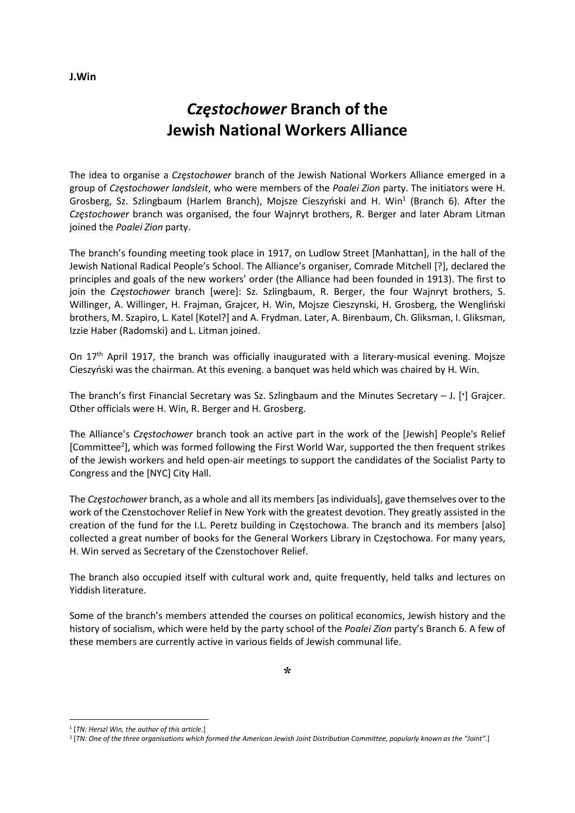## Częstochower Branch of the Jewish National Workers Alliance

The idea to organise a Czestochower branch of the Jewish National Workers Alliance emerged in a group of Częstochower landsleit, who were members of the Poalei Zion party. The initiators were H. Grosberg, Sz. Szlingbaum (Harlem Branch), Mojsze Cieszyński and H. Win<sup>1</sup> (Branch 6). After the Częstochower branch was organised, the four Wajnryt brothers, R. Berger and later Abram Litman joined the Poalei Zion party.

The branch's founding meeting took place in 1917, on Ludlow Street [Manhattan], in the hall of the Jewish National Radical People's School. The Alliance's organiser, Comrade Mitchell [?], declared the principles and goals of the new workers' order (the Alliance had been founded in 1913). The first to join the Czestochower branch [were]: Sz. Szlingbaum, R. Berger, the four Wajnryt brothers, S. Willinger, A. Willinger, H. Frajman, Grajcer, H. Win, Mojsze Cieszynski, H. Grosberg, the Wengliński brothers, M. Szapiro, L. Katel [Kotel?] and A. Frydman. Later, A. Birenbaum, Ch. Gliksman, I. Gliksman, Izzie Haber (Radomski) and L. Litman joined.

On 17<sup>th</sup> April 1917, the branch was officially inaugurated with a literary-musical evening. Mojsze Cieszyński was the chairman. At this evening. a banquet was held which was chaired by H. Win.

The branch's first Financial Secretary was Sz. Szlingbaum and the Minutes Secretary  $-$  J. [ $\cdot$ ] Grajcer. Other officials were H. Win, R. Berger and H. Grosberg.

The Alliance's Częstochower branch took an active part in the work of the [Jewish] People's Relief [Committee<sup>2</sup>], which was formed following the First World War, supported the then frequent strikes of the Jewish workers and held open-air meetings to support the candidates of the Socialist Party to Congress and the [NYC] City Hall.

The Częstochower branch, as a whole and all its members [as individuals], gave themselves over to the work of the Czenstochover Relief in New York with the greatest devotion. They greatly assisted in the creation of the fund for the I.L. Peretz building in Częstochowa. The branch and its members [also] collected a great number of books for the General Workers Library in Częstochowa. For many years, H. Win served as Secretary of the Czenstochover Relief.

The branch also occupied itself with cultural work and, quite frequently, held talks and lectures on Yiddish literature.

Some of the branch's members attended the courses on political economics, Jewish history and the history of socialism, which were held by the party school of the Poalei Zion party's Branch 6. A few of these members are currently active in various fields of Jewish communal life.

## J.Win

<sup>&</sup>lt;sup>1</sup> [TN: Herszl Win, the author of this article.]

<sup>2</sup> [TN: One of the three organisations which formed the American Jewish Joint Distribution Committee, popularly known as the "Joint".]